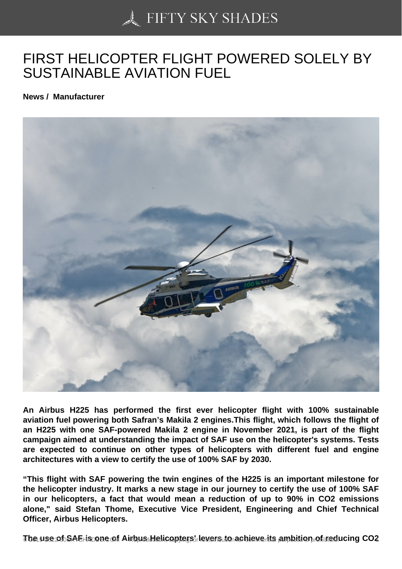## [FIRST HELICOPTER F](https://50skyshades.com)LIGHT POWERED SOLELY BY SUSTAINABLE AVIATION FUEL

News / Manufacturer

An Airbus H225 has performed the first ever helicopter flight with 100% sustainable aviation fuel powering both Safran's Makila 2 engines.This flight, which follows the flight of an H225 with one SAF-powered Makila 2 engine in November 2021, is part of the flight campaign aimed at understanding the impact of SAF use on the helicopter's systems. Tests are expected to continue on other types of helicopters with different fuel and engine architectures with a view to certify the use of 100% SAF by 2030.

"This flight with SAF powering the twin engines of the H225 is an important milestone for the helicopter industry. It marks a new stage in our journey to certify the use of 100% SAF in our helicopters, a fact that would mean a reduction of up to 90% in CO2 emissions alone," said Stefan Thome, Executive Vice President, Engineering and Chief Technical Officer, Airbus Helicopters.